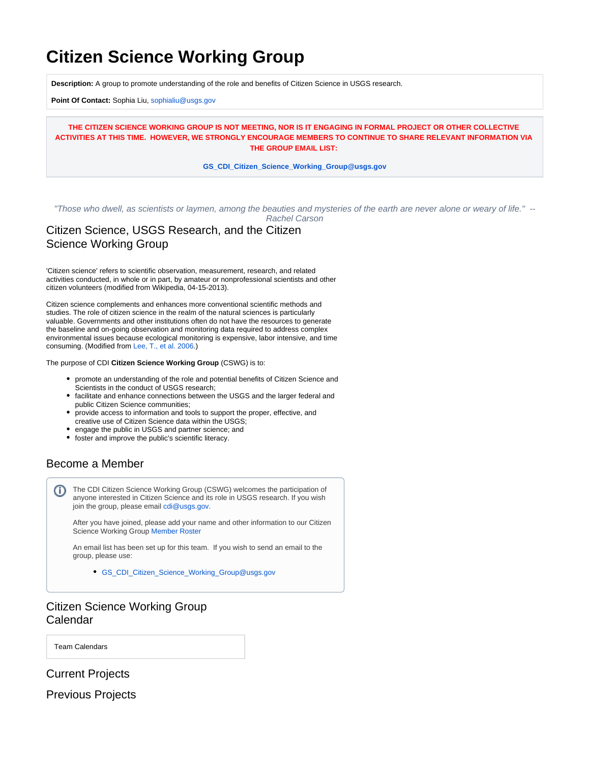# **Citizen Science Working Group**

**Description:** A group to promote understanding of the role and benefits of Citizen Science in USGS research.

**Point Of Contact:** Sophia Liu, [sophialiu@usgs.gov](mailto:sophialiu@usgs.gov)

**THE CITIZEN SCIENCE WORKING GROUP IS NOT MEETING, NOR IS IT ENGAGING IN FORMAL PROJECT OR OTHER COLLECTIVE ACTIVITIES AT THIS TIME. HOWEVER, WE STRONGLY ENCOURAGE MEMBERS TO CONTINUE TO SHARE RELEVANT INFORMATION VIA THE GROUP EMAIL LIST:**

#### **[GS\\_CDI\\_Citizen\\_Science\\_Working\\_Group@usgs.gov](mailto:GS_CDI_Citizen_Science_Working_Group@usgs.gov)**

"Those who dwell, as scientists or laymen, among the beauties and mysteries of the earth are never alone or weary of life." -- Rachel Carson

Citizen Science, USGS Research, and the Citizen Science Working Group

'Citizen science' refers to scientific observation, measurement, research, and related activities conducted, in whole or in part, by amateur or nonprofessional scientists and other citizen volunteers (modified from Wikipedia, 04-15-2013).

Citizen science complements and enhances more conventional scientific methods and studies. The role of citizen science in the realm of the natural sciences is particularly valuable. Governments and other institutions often do not have the resources to generate the baseline and on-going observation and monitoring data required to address complex environmental issues because ecological monitoring is expensive, labor intensive, and time consuming. (Modified from [Lee, T., et al. 2006](http://www.ecologyandsociety.org/vol11/iss1/art11/).)

The purpose of CDI **Citizen Science Working Group** (CSWG) is to:

- promote an understanding of the role and potential benefits of Citizen Science and Scientists in the conduct of USGS research;
- facilitate and enhance connections between the USGS and the larger federal and public Citizen Science communities;
- provide access to information and tools to support the proper, effective, and creative use of Citizen Science data within the USGS;
- engage the public in USGS and partner science; and
- foster and improve the public's scientific literacy.

# Become a Member

The CDI Citizen Science Working Group (CSWG) welcomes the participation of O) anyone interested in Citizen Science and its role in USGS research. If you wish join the group, please email [cdi@usgs.gov.](mailto:cdi@usgs.gov.)

After you have joined, please add your name and other information to our Citizen Science Working Group [Member Roster](https://my.usgs.gov/confluence/display/cdi/CSWG+Member+Roster)

An email list has been set up for this team. If you wish to send an email to the group, please use:

[GS\\_CDI\\_Citizen\\_Science\\_Working\\_Group@usgs.gov](mailto:GS_CDI_Citizen_Science_Working_Group@usgs.gov)

# Citizen Science Working Group Calendar

Team Calendars

Current Projects

Previous Projects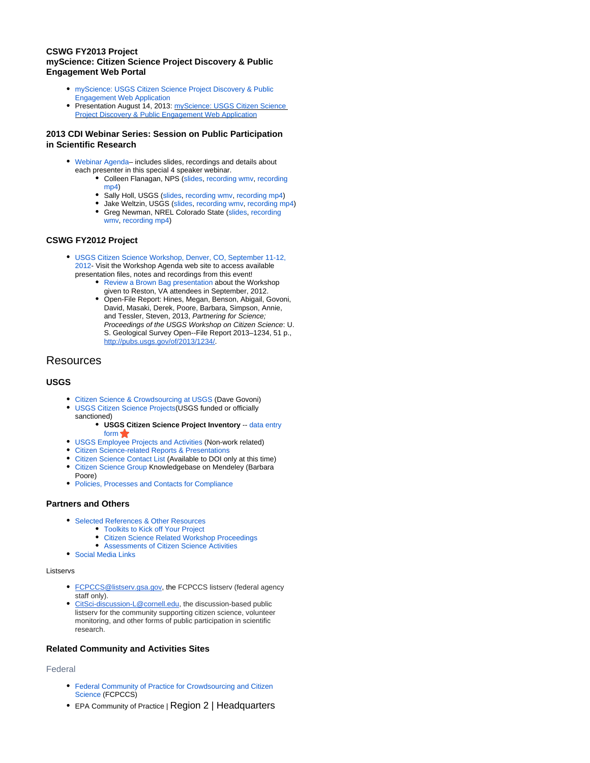#### **CSWG FY2013 Project myScience: Citizen Science Project Discovery & Public Engagement Web Portal**

- [myScience: USGS Citizen Science Project Discovery & Public](https://my.usgs.gov/confluence/pages/viewpage.action?pageId=328728681)  [Engagement Web Application](https://my.usgs.gov/confluence/pages/viewpage.action?pageId=328728681)
- Presentation August 14, 2013: myScience: USGS Citizen Science [Project Discovery & Public Engagement Web Application](https://my.usgs.gov/confluence/download/attachments/265978169/2013_CDI_Webinar_myScience_Holl.pdf?version=1&modificationDate=1376593374181&api=v2)

#### **2013 CDI Webinar Series: Session on Public Participation in Scientific Research**

- [Webinar Agenda–](https://my.usgs.gov/confluence/display/cdi/2013+CDI+Webinar+Series) includes slides, recordings and details about each presenter in this special 4 speaker webinar.
	- Colleen Flanagan, NPS ([slides](https://my.usgs.gov/confluence/download/attachments/265978169/Flanagan_CDI_hg-Dragonfly-citsci.pdf?version=1&modificationDate=1376595255138&api=v2), [recording wmv](https://my.usgs.gov/confluence/download/attachments/265978169/CDI_Webinar2013_PPSR_flanagan_wmv.wmv?version=1&modificationDate=1377271367614&api=v2), [recording](https://my.usgs.gov/confluence/download/attachments/265978169/CDI_Webinar2013_PPSR_flanagan_mp4.mp4?version=1&modificationDate=1377271089448&api=v2)  [mp4\)](https://my.usgs.gov/confluence/download/attachments/265978169/CDI_Webinar2013_PPSR_flanagan_mp4.mp4?version=1&modificationDate=1377271089448&api=v2)
	- Sally Holl, USGS [\(slides](https://my.usgs.gov/confluence/download/attachments/265978169/2013_CDI_Webinar_myScience_Holl.pdf?version=1&modificationDate=1376593374181&api=v2), [recording wmv](https://my.usgs.gov/confluence/download/attachments/265978169/CDI_Webinar2013_PPSR_holl_wmv.wmv?version=1&modificationDate=1377272996977&api=v2), [recording mp4\)](https://my.usgs.gov/confluence/download/attachments/265978169/CDI_Webinar2013_PPSR_holl_mp4.mp4?version=1&modificationDate=1377271754980&api=v2)
	- Jake Weltzin, USGS ([slides,](https://my.usgs.gov/confluence/download/attachments/265978169/Weltzin%20CDI%202013_lowrez.pdf?version=1&modificationDate=1376595527004&api=v2) [recording wmv,](https://my.usgs.gov/confluence/download/attachments/265978169/CDI_Webinar2013_PPSR_weltzin_wmv.wmv?version=1&modificationDate=1377273329747&api=v2) [recording mp4\)](https://my.usgs.gov/confluence/download/attachments/265978169/CDI_Webinar2013_PPSR_weltzin_mp4.mp4?version=1&modificationDate=1377272333627&api=v2) Greg Newman, NREL Colorado State [\(slides](https://my.usgs.gov/confluence/download/attachments/265978169/Newman_USGS_CDI_v1.pdf?version=1&modificationDate=1376593513746&api=v2), [recording](https://my.usgs.gov/confluence/download/attachments/265978169/CDI_Webinar2013_PPSR_newman_wmv.wmv?version=1&modificationDate=1377275085710&api=v2)  [wmv](https://my.usgs.gov/confluence/download/attachments/265978169/CDI_Webinar2013_PPSR_newman_wmv.wmv?version=1&modificationDate=1377275085710&api=v2), [recording mp4\)](https://my.usgs.gov/confluence/download/attachments/265978169/CDI_Webinar2013_PPSR_newman_mpg4.mp4?version=1&modificationDate=1377274811459&api=v2)

#### **CSWG FY2012 Project**

- [USGS Citizen Science Workshop, Denver, CO, September 11-12,](https://my.usgs.gov/confluence/display/cdi/Citizen+Science+Workshop+Agenda)  [2012-](https://my.usgs.gov/confluence/display/cdi/Citizen+Science+Workshop+Agenda) Visit the Workshop Agenda web site to access available presentation files, notes and recordings from this event!
	- [Review a Brown Bag presentation](https://my.usgs.gov/confluence/download/attachments/89686026/2012%20CSWG%20CS%20Workshop%20Summary%20mkh%20dm%20as2.pptx?version=1&modificationDate=1348508083368&api=v2) about the Workshop given to Reston, VA attendees in September, 2012.
	- Open-File Report: Hines, Megan, Benson, Abigail, Govoni, David, Masaki, Derek, Poore, Barbara, Simpson, Annie, and Tessler, Steven, 2013, Partnering for Science; Proceedings of the USGS Workshop on Citizen Science: U. S. Geological Survey Open--File Report 2013–1234, 51 p., <http://pubs.usgs.gov/of/2013/1234/>.

## **Resources**

#### **USGS**

- [Citizen Science & Crowdsourcing at USGS](https://docs.google.com/a/doi.gov/document/d/1eyDub6EO8DaVsni1pPRXYjKUnzZHprDwUqgR-LUul0I/edit?usp=sharing) (Dave Govoni)
- [USGS Citizen Science Projects](https://my.usgs.gov/confluence/display/cdi/USGS+Citizen+Science+Project+Inventory)(USGS funded or officially sanctioned)
	- **USGS Citizen Science Project Inventory** -- [data entry](https://my.usgs.gov/eventManager/event/show/6299)  [form](https://my.usgs.gov/eventManager/event/show/6299)
	- [USGS Employee Projects and Activities](https://my.usgs.gov/confluence/display/cdi/USGS+Employee+Projects+and+Activities) (Non-work related)
- [Citizen Science-related Reports & Presentations](https://my.usgs.gov/confluence/display/cdi/CSWG+Reports+and+Presentations)
- [Citizen Science Contact List](https://docs.google.com/a/doi.gov/spreadsheet/ccc?key=0ApdAUN2LJwUUdHdhWUUzLW9VLVZFS0ZLNnRjUkp2RFE&usp=sharing) (Available to DOI only at this time)
- $\bullet$ [Citizen Science Group](http://www.mendeley.com/groups/1426793/citizen-science/) Knowledgebase on Mendeley (Barbara
- Poore) • [Policies, Processes and Contacts for Compliance](https://my.usgs.gov/confluence/display/cdi/Processes+and+Policies)

#### **Partners and Others**

- [Selected References & Other Resources](https://my.usgs.gov/confluence/display/cdi/CSWG+Resources+and+References)
	- [Toolkits to Kick off Your Project](https://my.usgs.gov/confluence/display/cdi/CSWG+Resources+and+References#CSWGResourcesandReferences-Toolkits)
	- [Citizen Science Related Workshop Proceedings](https://my.usgs.gov/confluence/display/cdi/CSWG+Resources+and+References#CSWGResourcesandReferences-WorkshopProceedings)
- [Assessments of Citizen Science Activities](https://my.usgs.gov/confluence/display/cdi/CSWG+Resources+and+References#CSWGResourcesandReferences-Assessments) [Social Media Links](https://my.usgs.gov/confluence/display/cdi/CSWG+Social+Media+Links)

#### Listservs

- [FCPCCS@listserv.gsa.gov](mailto:FCPCCS@listserv.gsa.gov), the FCPCCS listserv (federal agency staff only).
- [CitSci-discussion-L@cornell.edu](mailto:CitSci-discussion-L@cornell.edu), the discussion-based public listserv for the community supporting citizen science, volunteer monitoring, and other forms of public participation in scientific research.

#### **Related Community and Activities Sites**

#### Federal

- [Federal Community of Practice for Crowdsourcing and Citizen](https://www.digitalgov.gov/communities/federal-crowdsourcing-and-citizen-science/)  [Science](https://www.digitalgov.gov/communities/federal-crowdsourcing-and-citizen-science/) (FCPCCS)
- EPA Community of Practice | Region 2 | Headquarters